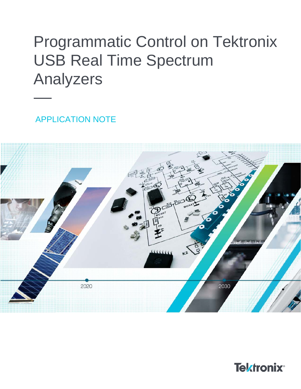# Programmatic Control on Tektronix USB Real Time Spectrum Analyzers

APPLICATION NOTE



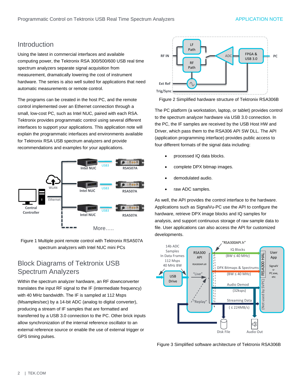## Introduction

Using the latest in commercial interfaces and available computing power, the Tektronix RSA 300/500/600 USB real time spectrum analyzers separate signal acquisition from measurement, dramatically lowering the cost of instrument hardware. The series is also well suited for applications that need automatic measurements or remote control.

The programs can be created in the host PC, and the remote control implemented over an Ethernet connection through a small, low-cost PC, such as Intel NUC, paired with each RSA. Tektronix provides programmatic control using several different interfaces to support your applications. This application note will explain the programmatic interfaces and environments available for Tektronix RSA USB spectrum analyzers and provide recommendations and examples for your applications.



Figure 1 Multiple point remote control with Tektronix RSA507A spectrum analyzers with Intel NUC mini PCs

## Block Diagrams of Tektronix USB Spectrum Analyzers

Within the spectrum analyzer hardware, an RF downconverter translates the input RF signal to the IF (intermediate frequency) with 40 MHz bandwidth. The IF is sampled at 112 Msps (Msamples/sec) by a 14-bit ADC (analog to digital converter), producing a stream of IF samples that are formatted and transferred by a USB 3.0 connection to the PC. Other brick inputs allow synchronization of the internal reference oscillator to an external reference source or enable the use of external trigger or GPS timing pulses.



Figure 2 Simplified hardware structure of Tektronix RSA306B

The PC platform (a workstation, laptop, or tablet) provides control to the spectrum analyzer hardware via USB 3.0 connection. In the PC, the IF samples are received by the USB Host HW and Driver, which pass them to the RSA306 API SW DLL. The API (application programming interface) provides public access to four different formats of the signal data including:

- processed IQ data blocks.
- complete DPX bitmap images.
- demodulated audio.
- raw ADC samples.

As well, the API provides the control interface to the hardware. Applications such as SignalVu-PC use the API to configure the hardware, retrieve DPX image blocks and IQ samples for analysis, and support continuous storage of raw sample data to file. User applications can also access the API for customized developments.



Figure 3 Simplified software architecture of Tektronix RSA306B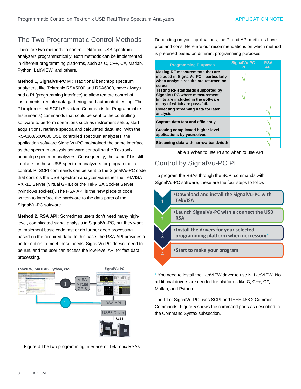# The Two Programmatic Control Methods

There are two methods to control Tektronix USB spectrum analyzers programmatically. Both methods can be implemented in different programming platforms, such as C, C++, C#, Matlab, Python, LabVIEW, and others.

**Method 1, SignalVu-PC PI:** Traditional benchtop spectrum analyzers, like Tektronix RSA5000 and RSA6000, have always had a PI (programming interface) to allow remote control of instruments, remote data gathering, and automated testing. The PI implemented SCPI (Standard Commands for Programmable Instruments) commands that could be sent to the controlling software to perform operations such as instrument setup, start acquisitions, retrieve spectra and calculated data, etc. With the RSA300/500/600 USB controlled spectrum analyzers, the application software SignalVu-PC maintained the same interface as the spectrum analysis software controlling the Tektronix benchtop spectrum analyzers. Consequently, the same PI is still in place for these USB spectrum analyzers for programmatic control. PI SCPI commands can be sent to the SignalVu-PC code that controls the USB spectrum analyzer via either the TekVISA VXI-11 Server (virtual GPIB) or the TekVISA Socket Server (Windows sockets). The RSA API is the new piece of code written to interface the hardware to the data ports of the SignalVu-PC software.

**Method 2, RSA API:** Sometimes users don't need many highlevel, complicated signal analysis in SignalVu-PC, but they want to implement basic code fast or do further deep processing based on the acquired data. In this case, the RSA API provides a better option to meet those needs. SignalVu-PC doesn't need to be run, and the user can access the low-level API for fast data processing.



Figure 4 The two programming Interface of Tektronix RSAs

Depending on your applications, the PI and API methods have pros and cons. Here are our recommendations on which method is preferred based on different programming purposes.

| <b>Programming Purposes</b>                                                                                                                | SignalVu-PC | <b>RSA</b><br>API |
|--------------------------------------------------------------------------------------------------------------------------------------------|-------------|-------------------|
| <b>Making RF measurements that are</b><br>included in SignalVu-PC, particularly<br>when analysis results are returned on<br>screen.        |             |                   |
| Testing RF standards supported by<br>SignalVu-PC where measurement<br>limits are included in the software,<br>many of which are pass/fail. |             |                   |
| <b>Collecting streaming data for later</b><br>analysis.                                                                                    |             |                   |
| Capture data fast and efficiently                                                                                                          |             |                   |
| <b>Creating complicated higher-level</b><br>applications by yourselves                                                                     |             |                   |
| Streaming data with narrow bandwidth                                                                                                       |             |                   |

Table 1 When to use PI and when to use API

## Control by SignalVu-PC PI

To program the RSAs through the SCPI commands with SignalVu-PC software, these are the four steps to follow:



\* You need to install the LabVIEW driver to use NI LabVIEW. No additional drivers are needed for platforms like C, C++, C#, Matlab, and Python.

The PI of SignalVu-PC uses SCPI and IEEE 488.2 Common Commands. Figure 5 shows the command parts as described in the Command Syntax subsection.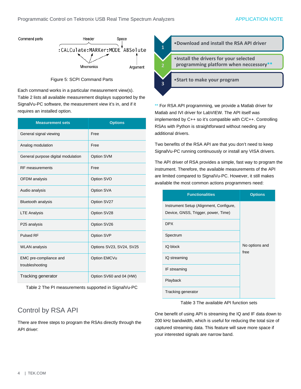

Figure 5: SCPI Command Parts

Each command works in a particular measurement view(s). Table 2 lists all available measurement displays supported by the SignalVu-PC software, the measurement view it's in, and if it requires an installed option.

| <b>Measurement sets</b>                   | <b>Options</b>           |
|-------------------------------------------|--------------------------|
| General signal viewing                    | Free                     |
| Analog modulation                         | Free                     |
| General purpose digital modulation        | Option SVM               |
| <b>RF</b> measurements                    | Free                     |
| <b>OFDM</b> analysis                      | Option SVO               |
| Audio analysis                            | Option SVA               |
| Bluetooth analysis                        | Option SV27              |
| <b>LTE Analysis</b>                       | Option SV28              |
| P25 analysis                              | Option SV26              |
| <b>Pulsed RF</b>                          | Option SVP               |
| <b>WLAN</b> analysis                      | Options SV23, SV24, SV25 |
| EMC pre-compliance and<br>troubleshooting | Option EMCVu             |
| Tracking generator                        | Option SV60 and 04 (HW)  |

Table 2 The PI measurements supported in SignalVu-PC

# Control by RSA API

There are three steps to program the RSAs directly through the API driver:



\*\* For RSA API programming, we provide a Matlab driver for Matlab and IVI driver for LabVIEW. The API itself was implemented by C++ so it's compatible with C/C++. Controlling RSAs with Python is straightforward without needing any additional drivers.

Two benefits of the RSA API are that you don't need to keep SignalVu-PC running continuously or install any VISA drivers.

The API driver of RSA provides a simple, fast way to program the instrument. Therefore, the available measurements of the API are limited compared to SignalVu-PC. However, it still makes available the most common actions programmers need:

| <b>Functionalities</b>                                                         | <b>Options</b>         |
|--------------------------------------------------------------------------------|------------------------|
| Instrument Setup (Alignment, Configure,<br>Device, GNSS, Trigger, power, Time) |                        |
| <b>DPX</b>                                                                     |                        |
| Spectrum                                                                       |                        |
| <b>IQ block</b>                                                                | No options and<br>free |
| IQ streaming                                                                   |                        |
| IF streaming                                                                   |                        |
| Playback                                                                       |                        |
| Tracking generator                                                             |                        |

Table 3 The available API function sets

One benefit of using API is streaming the IQ and IF data down to 200 kHz bandwidth, which is useful for reducing the total size of captured streaming data. This feature will save more space if your interested signals are narrow band.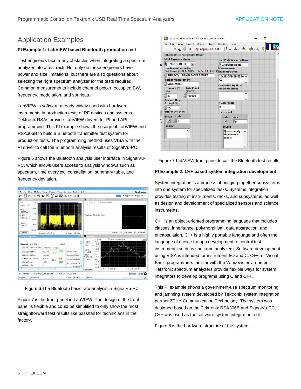## Application Examples

#### **PI Example 1: LabVIEW based Bluetooth production test**

Test engineers face many obstacles when integrating a spectrum analyzer into a test rack. Not only do these engineers have power and size limitations, but there are also questions about selecting the right spectrum analyzer for the tests required. Common measurements include channel power, occupied BW, frequency, modulation, and spurious.

LabVIEW is software already widely used with hardware instruments in production tests of RF devices and systems. Tektronix RSAs provide LabVIEW drivers for PI and API programming. This PI example shows the usage of LabVIEW and RSA306B to build a Bluetooth transmitter test system for production tests. The programming method uses VISA with the PI driver to call the Bluetooth analysis results of SignalVu-PC.

Figure 6 shows the Bluetooth analysis user interface in SignalVu-PC, which allows users access to analysis windows such as spectrum, time overview, constellation, summary table, and frequency deviation.





Figure 7 is the front panel in LabVIEW. The design of the front panel is flexible and could be simplified to only show the most straightforward test results like pass/fail for technicians in the factory.

| tkrsa6100 Bluetooth-BR Packet Info.vi Front Panel *         | ×                                          |
|-------------------------------------------------------------|--------------------------------------------|
| Project Operate Tools Window<br><b>File</b><br>Edit View    | Help                                       |
| $\Rightarrow$ $\otimes$ $\circ$ II                          | Ø<br>15pt Application Font 、 How 面、 画、 的 Q |
| <b>Bluetooth-LE Packet Info Driver</b>                      |                                            |
| <b>VISA Resource Name</b>                                   | dup VISA Resource Name                     |
| $\frac{1}{6}$ GPIB8::1:INSTR<br>Iz.                         | <b>K</b> GPIB8:1:INSTR                     |
| <b>Run Acquisition and/or</b>                               | <b>Measurement</b>                         |
| Get Result (RUN ACQUISITION & GET RESULT) Response String   |                                            |
| RUN ACQUISITION & GET RESULT                                | "0x4F36F2CEE85390 ^                        |
| <b>Packet Measurement</b>                                   | CB"                                        |
| <b>SYNC WORD</b>                                            | <b>Converted Sql Float</b>                 |
| <b>Timeout (S)</b><br><b>Byte Count</b><br>(100000)<br>(30) | <b>Response String</b>                     |
| 100000<br>30                                                | ۸                                          |
|                                                             | u                                          |
| <b>Convert Resp</b><br>String(NO)                           | # Data Points                              |
| E NO                                                        | $\mathbf{0}$                               |
| error in (no error)                                         | error out                                  |
| status code                                                 | code<br>status                             |
| ١đ<br>$\frac{2}{3}$ 0<br>ℐ                                  |                                            |
|                                                             | ℐ<br>UO.                                   |
| source                                                      | source                                     |
| ۸                                                           | Queue empty - $\land$                      |
| v                                                           | No events to<br>report                     |
|                                                             |                                            |
|                                                             | v                                          |
|                                                             |                                            |

Figure 7 LabVIEW front panel to call the Bluetooth test results

#### **PI Example 2: C++ based system integration development**

System integration is a process of bringing together subsystems into one system for specialized tasks. Systems integration provides testing of instruments, racks, and subsystems, as well as design and development of specialized sensors and science instruments.

C++ is an object-oriented programming language that includes classes, inheritance, polymorphism, data abstraction, and encapsulation. C++ is a highly portable language and often the language of choice for app development to control test instruments such as spectrum analyzers. Software development using VISA is intended for instrument I/O and C, C++, or Visual Basic programmers familiar with the Windows environment. Tektronix spectrum analyzers provide flexible ways for system integrators to develop programs using C and C++.

This PI example shows a government-use spectrum monitoring and jamming system developed by Tektronix system integration partner ZTHY Communication Technology. The system was designed based on the Tektronix RSA306B and SignalVu-PC. C++ was used as the software system integration tool.

Figure 8 is the hardware structure of the system.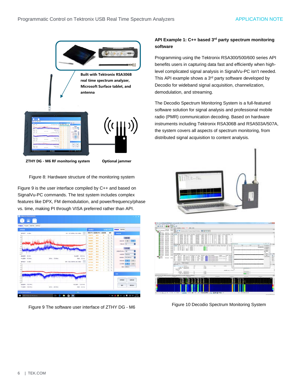

**ZTHY DG - M6 RF monitoring system Optional jammer**

Figure 8: Hardware structure of the monitoring system

Figure 9 is the user interface compiled by C++ and based on SignalVu-PC commands. The test system includes complex features like DPX, FM demodulation, and power/frequency/phase vs. time, making PI through VISA preferred rather than API.

| 供用採索                           |                |                                   | <b>SERISEA</b>  |         |       | <b>28381003</b>     |      | <b>PRICE CHOICE</b> |                     |               |
|--------------------------------|----------------|-----------------------------------|-----------------|---------|-------|---------------------|------|---------------------|---------------------|---------------|
| 9-9/6V 120-days                |                | MR / JC FASANIA-308.57/899<br>(b) | 無法(NH) 証明書(#im) |         | ERAIL | 52/5                | 日数配置 |                     |                     |               |
|                                |                |                                   | 158.375         | 105     | 11    | $Q_2$               |      |                     |                     |               |
|                                |                |                                   | 143,248         | -84.6   | ٠     | o<br>a              |      |                     | 日本日置                |               |
|                                |                |                                   | 136,588         | $-84.9$ | ٠     | $Q$ $\Rightarrow$   |      | moint               | ×                   | $\frac{1}{2}$ |
|                                |                |                                   | <b>TAILETT</b>  | 84.1    | 15    | $Q$ $B$             |      | <b>CSNodes</b> 16   |                     | Ε             |
|                                |                |                                   | 139,282         | 40.2    | 11    | $Q \nightharpoonup$ |      |                     |                     |               |
|                                |                |                                   | 138,488         | 81.4    | 12    | $Q$ $\partial$      |      |                     | 分析時置                |               |
|                                |                |                                   | 141,237         | 42.9    | 44    | $Q_1$               |      | <b>BRISTORY 48</b>  |                     | E             |
| <b>ID MHz</b><br><b>ROOMER</b> |                | INJUNER 200 MHz                   | 101.677         | 444     | 33    | $Q$ $\Rightarrow$   |      |                     | 402910 500 KHz      | E             |
| HOBB: 115 M/z                  | SPAN : 170 MHz | <b>RSW: 25 kHz</b>                | 93,558          | $-70.5$ | ٠     | o<br>$\alpha$       |      |                     | states: M.20044     | e             |
|                                |                | MR: 1000.100MHz-863748m 55        | 153,647         | 44.1    | ٠     | 0.9                 |      | 9.52.201            | $\scriptstyle\rm m$ | K.            |
| 89/67 1-30 days                |                |                                   | <b>SETURA</b>   | 83.6    | ×     | Q:3                 |      | 文本新書                | ۰                   |               |
|                                |                |                                   | 167,214         | 867     | ٠     | 0.5                 |      |                     | <b>RBIN</b> 2000KG  |               |
|                                |                |                                   | <b>LEEMS</b>    | 45.1    | ٠     | $Q$ $\Rightarrow$   |      |                     |                     |               |
|                                |                |                                   | 148.122         | $-34.7$ |       | $Q$ $\oplus$        |      |                     |                     |               |
|                                |                |                                   |                 |         |       |                     | 7295 | <b>の98%</b>         |                     | 玻利消除          |
|                                |                |                                   |                 |         |       |                     |      |                     |                     |               |
| <b>B'RINGER - ICED Amer</b>    |                | IS/2309 17/00 MHz                 |                 |         |       |                     |      | NH                  |                     | 清空成点          |

Figure 9 The software user interface of ZTHY DG - M6

## **API Example 1: C++ based 3rd party spectrum monitoring software**

Programming using the Tektronix RSA300/500/600 series API benefits users in capturing data fast and efficiently when highlevel complicated signal analysis in SignalVu-PC isn't needed. This API example shows a 3<sup>rd</sup> party software developed by Decodio for wideband signal acquisition, channelization, demodulation, and streaming.

The Decodio Spectrum Monitoring System is a full-featured software solution for signal analysis and professional mobile radio (PMR) communication decoding. Based on hardware instruments including Tektronix RSA306B and RSA503A/507A, the system covers all aspects of spectrum monitoring, from distributed signal acquisition to content analysis.





Figure 10 Decodio Spectrum Monitoring System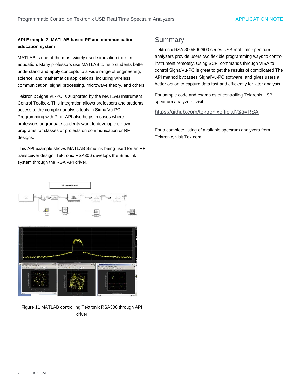## **API Example 2: MATLAB based RF and communication education system**

MATLAB is one of the most widely used simulation tools in education. Many professors use MATLAB to help students better understand and apply concepts to a wide range of engineering, science, and mathematics applications, including wireless communication, signal processing, microwave theory, and others.

Tektronix SignalVu-PC is supported by the MATLAB Instrument Control Toolbox. This integration allows professors and students access to the complex analysis tools in SignalVu-PC. Programming with PI or API also helps in cases where professors or graduate students want to develop their own programs for classes or projects on communication or RF designs.

This API example shows MATLAB Simulink being used for an RF transceiver design. Tektronix RSA306 develops the Simulink system through the RSA API driver.

## **Summary**

Tektronix RSA 300/500/600 series USB real time spectrum analyzers provide users two flexible programming ways to control instrument remotely. Using SCPI commands through VISA to control SignalVu-PC is great to get the results of complicated The API method bypasses SignalVu-PC software, and gives users a better option to capture data fast and efficiently for later analysis.

For sample code and examples of controlling Tektronix USB spectrum analyzers, visit:

## <https://github.com/tektronixofficial?&q=RSA>

For a complete listing of available spectrum analyzers from Tektronix, visit Tek.com.



Figure 11 MATLAB controlling Tektronix RSA306 through API driver